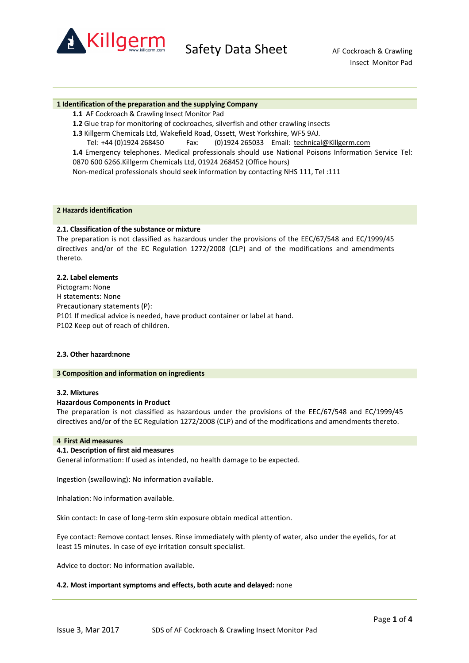

## **1 Identification of the preparation and the supplying Company**

- **1.1** AF Cockroach & Crawling Insect Monitor Pad
- **1.2** Glue trap for monitoring of cockroaches, silverfish and other crawling insects
- **1.3** Killgerm Chemicals Ltd, Wakefield Road, Ossett, West Yorkshire, WF5 9AJ.
	- Tel: +44 (0)1924 268450 Fax: (0)1924 265033 Email: technical@Killgerm.com

**1.4** Emergency telephones. Medical professionals should use National Poisons Information Service Tel: 0870 600 6266.Killgerm Chemicals Ltd, 01924 268452 (Office hours)

Non-medical professionals should seek information by contacting NHS 111, Tel :111

#### **2 Hazards identification**

## **2.1. Classification of the substance or mixture**

The preparation is not classified as hazardous under the provisions of the EEC/67/548 and EC/1999/45 directives and/or of the EC Regulation 1272/2008 (CLP) and of the modifications and amendments thereto.

## **2.2. Label elements**

Pictogram: None H statements: None Precautionary statements (P): P101 If medical advice is needed, have product container or label at hand. P102 Keep out of reach of children.

## **2.3. Other hazard:none**

## **3 Composition and information on ingredients**

## **3.2. Mixtures**

## **Hazardous Components in Product**

The preparation is not classified as hazardous under the provisions of the EEC/67/548 and EC/1999/45 directives and/or of the EC Regulation 1272/2008 (CLP) and of the modifications and amendments thereto.

### **4 First Aid measures**

## **4.1. Description of first aid measures**

General information: If used as intended, no health damage to be expected.

Ingestion (swallowing): No information available.

Inhalation: No information available.

Skin contact: In case of long-term skin exposure obtain medical attention.

Eye contact: Remove contact lenses. Rinse immediately with plenty of water, also under the eyelids, for at least 15 minutes. In case of eye irritation consult specialist.

Advice to doctor: No information available.

## **4.2. Most important symptoms and effects, both acute and delayed:** none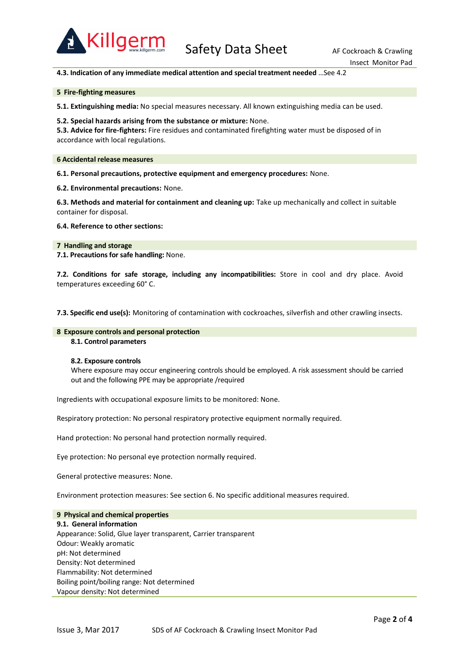

# **4.3. Indication of any immediate medical attention and special treatment needed** …See 4.2

#### **5 Fire-fighting measures**

**5.1. Extinguishing media:** No special measures necessary. All known extinguishing media can be used.

#### **5.2. Special hazards arising from the substance or mixture:** None.

**5.3. Advice for fire-fighters:** Fire residues and contaminated firefighting water must be disposed of in accordance with local regulations.

#### **6 Accidental release measures**

**6.1. Personal precautions, protective equipment and emergency procedures:** None.

#### **6.2. Environmental precautions:** None.

**6.3. Methods and material for containment and cleaning up:** Take up mechanically and collect in suitable container for disposal.

**6.4. Reference to other sections:** 

### **7 Handling and storage**

**7.1. Precautions for safe handling:** None.

**7.2. Conditions for safe storage, including any incompatibilities:** Store in cool and dry place. Avoid temperatures exceeding 60° C.

**7.3. Specific end use(s):** Monitoring of contamination with cockroaches, silverfish and other crawling insects.

# **8 Exposure controls and personal protection**

**8.1. Control parameters** 

## **8.2. Exposure controls**

Where exposure may occur engineering controls should be employed. A risk assessment should be carried out and the following PPE may be appropriate /required

Ingredients with occupational exposure limits to be monitored: None.

Respiratory protection: No personal respiratory protective equipment normally required.

Hand protection: No personal hand protection normally required.

Eye protection: No personal eye protection normally required.

General protective measures: None.

Environment protection measures: See section 6. No specific additional measures required.

## **9 Physical and chemical properties**

**9.1. General information**  Appearance: Solid, Glue layer transparent, Carrier transparent Odour: Weakly aromatic pH: Not determined Density: Not determined Flammability: Not determined Boiling point/boiling range: Not determined Vapour density: Not determined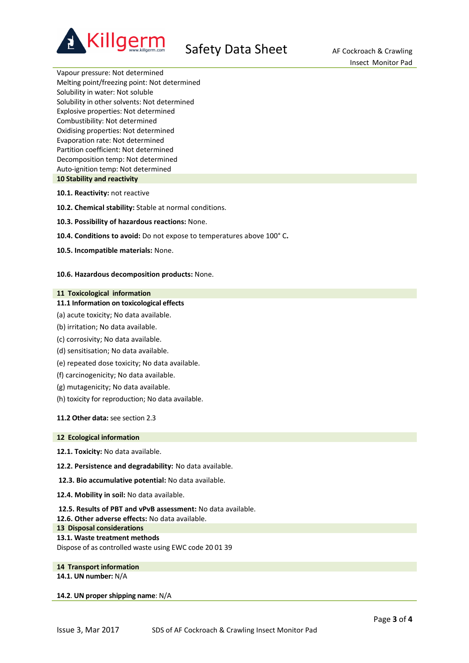

Vapour pressure: Not determined Melting point/freezing point: Not determined Solubility in water: Not soluble Solubility in other solvents: Not determined Explosive properties: Not determined Combustibility: Not determined Oxidising properties: Not determined Evaporation rate: Not determined Partition coefficient: Not determined Decomposition temp: Not determined Auto-ignition temp: Not determined **10 Stability and reactivity** 

**10.1. Reactivity:** not reactive

**10.2. Chemical stability:** Stable at normal conditions.

**10.3. Possibility of hazardous reactions:** None.

**10.4. Conditions to avoid:** Do not expose to temperatures above 100° C**.**

**10.5. Incompatible materials:** None.

### **10.6. Hazardous decomposition products:** None.

#### **11 Toxicological information**

# **11.1 Information on toxicological effects**

- (a) acute toxicity; No data available.
- (b) irritation; No data available.
- (c) corrosivity; No data available.
- (d) sensitisation; No data available.
- (e) repeated dose toxicity; No data available.
- (f) carcinogenicity; No data available.
- (g) mutagenicity; No data available.
- (h) toxicity for reproduction; No data available.

**11.2 Other data:** see section 2.3

#### **12 Ecological information**

**12.1. Toxicity:** No data available.

**12.2. Persistence and degradability:** No data available.

 **12.3. Bio accumulative potential:** No data available.

**12.4. Mobility in soil:** No data available.

 **12.5. Results of PBT and vPvB assessment:** No data available.

**12.6. Other adverse effects:** No data available.

### **13 Disposal considerations**

**13.1. Waste treatment methods** 

Dispose of as controlled waste using EWC code 20 01 39

**14 Transport information** 

**14.1. UN number:** N/A

**14.2**. **UN proper shipping name**: N/A